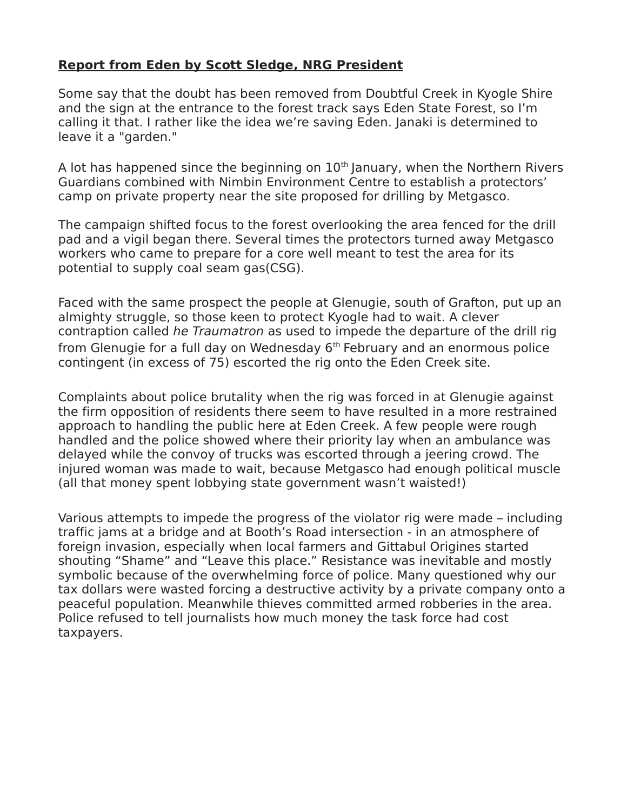## **Report from Eden by Scott Sledge, NRG President**

Some say that the doubt has been removed from Doubtful Creek in Kyogle Shire and the sign at the entrance to the forest track says Eden State Forest, so I'm calling it that. I rather like the idea we're saving Eden. Janaki is determined to leave it a "garden."

A lot has happened since the beginning on  $10<sup>th</sup>$  January, when the Northern Rivers Guardians combined with Nimbin Environment Centre to establish a protectors' camp on private property near the site proposed for drilling by Metgasco.

The campaign shifted focus to the forest overlooking the area fenced for the drill pad and a vigil began there. Several times the protectors turned away Metgasco workers who came to prepare for a core well meant to test the area for its potential to supply coal seam gas(CSG).

Faced with the same prospect the people at Glenugie, south of Grafton, put up an almighty struggle, so those keen to protect Kyogle had to wait. A clever contraption called he Traumatron as used to impede the departure of the drill rig from Glenugie for a full day on Wednesday 6<sup>th</sup> February and an enormous police contingent (in excess of 75) escorted the rig onto the Eden Creek site.

Complaints about police brutality when the rig was forced in at Glenugie against the firm opposition of residents there seem to have resulted in a more restrained approach to handling the public here at Eden Creek. A few people were rough handled and the police showed where their priority lay when an ambulance was delayed while the convoy of trucks was escorted through a jeering crowd. The injured woman was made to wait, because Metgasco had enough political muscle (all that money spent lobbying state government wasn't waisted!)

Various attempts to impede the progress of the violator rig were made – including traffic jams at a bridge and at Booth's Road intersection - in an atmosphere of foreign invasion, especially when local farmers and Gittabul Origines started shouting "Shame" and "Leave this place." Resistance was inevitable and mostly symbolic because of the overwhelming force of police. Many questioned why our tax dollars were wasted forcing a destructive activity by a private company onto a peaceful population. Meanwhile thieves committed armed robberies in the area. Police refused to tell journalists how much money the task force had cost taxpayers.